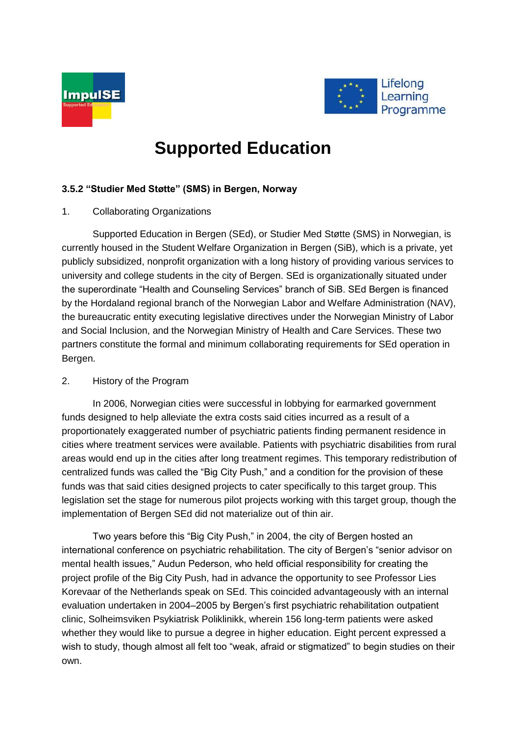



# **Supported Education**

# **3.5.2 "Studier Med Støtte" (SMS) in Bergen, Norway**

## 1. Collaborating Organizations

Supported Education in Bergen (SEd), or Studier Med Støtte (SMS) in Norwegian, is currently housed in the Student Welfare Organization in Bergen (SiB), which is a private, yet publicly subsidized, nonprofit organization with a long history of providing various services to university and college students in the city of Bergen. SEd is organizationally situated under the superordinate "Health and Counseling Services" branch of SiB. SEd Bergen is financed by the Hordaland regional branch of the Norwegian Labor and Welfare Administration (NAV), the bureaucratic entity executing legislative directives under the Norwegian Ministry of Labor and Social Inclusion, and the Norwegian Ministry of Health and Care Services. These two partners constitute the formal and minimum collaborating requirements for SEd operation in Bergen.

## 2. History of the Program

In 2006, Norwegian cities were successful in lobbying for earmarked government funds designed to help alleviate the extra costs said cities incurred as a result of a proportionately exaggerated number of psychiatric patients finding permanent residence in cities where treatment services were available. Patients with psychiatric disabilities from rural areas would end up in the cities after long treatment regimes. This temporary redistribution of centralized funds was called the "Big City Push," and a condition for the provision of these funds was that said cities designed projects to cater specifically to this target group. This legislation set the stage for numerous pilot projects working with this target group, though the implementation of Bergen SEd did not materialize out of thin air.

Two years before this "Big City Push," in 2004, the city of Bergen hosted an international conference on psychiatric rehabilitation. The city of Bergen's "senior advisor on mental health issues," Audun Pederson, who held official responsibility for creating the project profile of the Big City Push, had in advance the opportunity to see Professor Lies Korevaar of the Netherlands speak on SEd. This coincided advantageously with an internal evaluation undertaken in 2004–2005 by Bergen's first psychiatric rehabilitation outpatient clinic, Solheimsviken Psykiatrisk Poliklinikk, wherein 156 long-term patients were asked whether they would like to pursue a degree in higher education. Eight percent expressed a wish to study, though almost all felt too "weak, afraid or stigmatized" to begin studies on their own.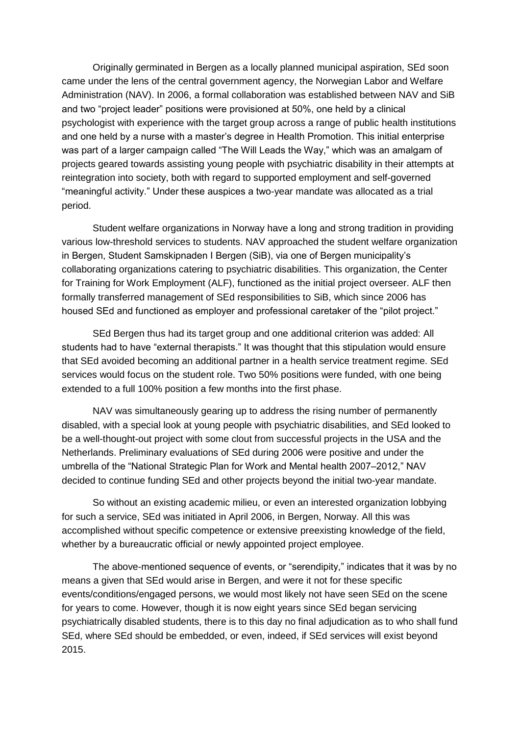Originally germinated in Bergen as a locally planned municipal aspiration, SEd soon came under the lens of the central government agency, the Norwegian Labor and Welfare Administration (NAV). In 2006, a formal collaboration was established between NAV and SiB and two "project leader" positions were provisioned at 50%, one held by a clinical psychologist with experience with the target group across a range of public health institutions and one held by a nurse with a master's degree in Health Promotion. This initial enterprise was part of a larger campaign called "The Will Leads the Way," which was an amalgam of projects geared towards assisting young people with psychiatric disability in their attempts at reintegration into society, both with regard to supported employment and self-governed "meaningful activity." Under these auspices a two-year mandate was allocated as a trial period.

Student welfare organizations in Norway have a long and strong tradition in providing various low-threshold services to students. NAV approached the student welfare organization in Bergen, Student Samskipnaden I Bergen (SiB), via one of Bergen municipality's collaborating organizations catering to psychiatric disabilities. This organization, the Center for Training for Work Employment (ALF), functioned as the initial project overseer. ALF then formally transferred management of SEd responsibilities to SiB, which since 2006 has housed SEd and functioned as employer and professional caretaker of the "pilot project."

SEd Bergen thus had its target group and one additional criterion was added: All students had to have "external therapists." It was thought that this stipulation would ensure that SEd avoided becoming an additional partner in a health service treatment regime. SEd services would focus on the student role. Two 50% positions were funded, with one being extended to a full 100% position a few months into the first phase.

NAV was simultaneously gearing up to address the rising number of permanently disabled, with a special look at young people with psychiatric disabilities, and SEd looked to be a well-thought-out project with some clout from successful projects in the USA and the Netherlands. Preliminary evaluations of SEd during 2006 were positive and under the umbrella of the "National Strategic Plan for Work and Mental health 2007–2012," NAV decided to continue funding SEd and other projects beyond the initial two-year mandate.

So without an existing academic milieu, or even an interested organization lobbying for such a service, SEd was initiated in April 2006, in Bergen, Norway. All this was accomplished without specific competence or extensive preexisting knowledge of the field, whether by a bureaucratic official or newly appointed project employee.

The above-mentioned sequence of events, or "serendipity," indicates that it was by no means a given that SEd would arise in Bergen, and were it not for these specific events/conditions/engaged persons, we would most likely not have seen SEd on the scene for years to come. However, though it is now eight years since SEd began servicing psychiatrically disabled students, there is to this day no final adjudication as to who shall fund SEd, where SEd should be embedded, or even, indeed, if SEd services will exist beyond 2015.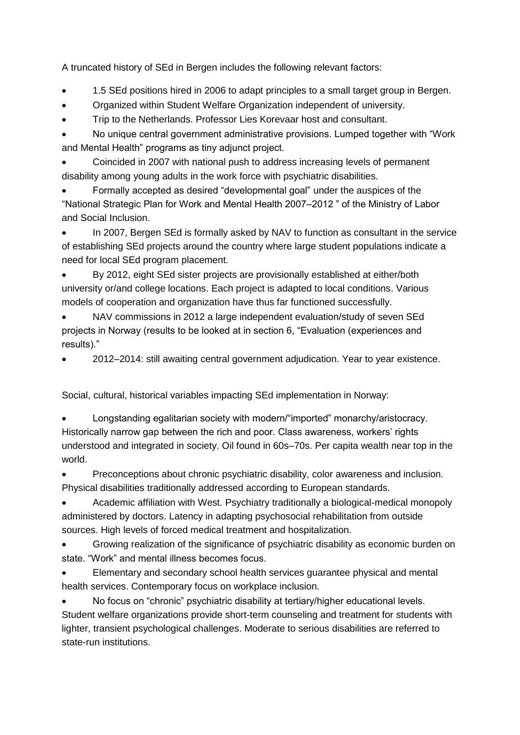A truncated history of SEd in Bergen includes the following relevant factors:

- 1.5 SEd positions hired in 2006 to adapt principles to a small target group in Bergen.
- Organized within Student Welfare Organization independent of university.
- Trip to the Netherlands. Professor Lies Korevaar host and consultant.

 No unique central government administrative provisions. Lumped together with "Work and Mental Health" programs as tiny adjunct project.

 Coincided in 2007 with national push to address increasing levels of permanent disability among young adults in the work force with psychiatric disabilities.

 Formally accepted as desired "developmental goal" under the auspices of the "National Strategic Plan for Work and Mental Health 2007–2012 " of the Ministry of Labor and Social Inclusion.

 In 2007, Bergen SEd is formally asked by NAV to function as consultant in the service of establishing SEd projects around the country where large student populations indicate a need for local SEd program placement.

 By 2012, eight SEd sister projects are provisionally established at either/both university or/and college locations. Each project is adapted to local conditions. Various models of cooperation and organization have thus far functioned successfully.

 NAV commissions in 2012 a large independent evaluation/study of seven SEd projects in Norway (results to be looked at in section 6, "Evaluation (experiences and results)."

2012–2014: still awaiting central government adjudication. Year to year existence.

Social, cultural, historical variables impacting SEd implementation in Norway:

 Longstanding egalitarian society with modern/"imported" monarchy/aristocracy. Historically narrow gap between the rich and poor. Class awareness, workers' rights understood and integrated in society. Oil found in 60s–70s. Per capita wealth near top in the world.

 Preconceptions about chronic psychiatric disability, color awareness and inclusion. Physical disabilities traditionally addressed according to European standards.

 Academic affiliation with West. Psychiatry traditionally a biological-medical monopoly administered by doctors. Latency in adapting psychosocial rehabilitation from outside sources. High levels of forced medical treatment and hospitalization.

 Growing realization of the significance of psychiatric disability as economic burden on state. "Work" and mental illness becomes focus.

 Elementary and secondary school health services guarantee physical and mental health services. Contemporary focus on workplace inclusion.

 No focus on "chronic" psychiatric disability at tertiary/higher educational levels. Student welfare organizations provide short-term counseling and treatment for students with lighter, transient psychological challenges. Moderate to serious disabilities are referred to state-run institutions.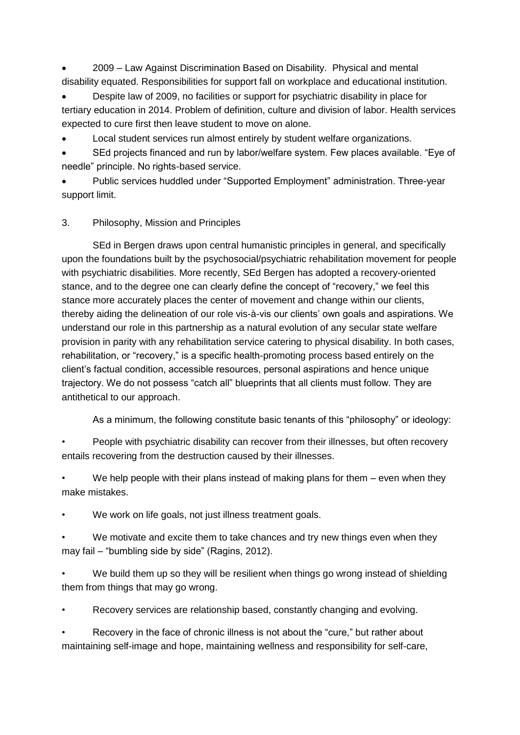2009 – Law Against Discrimination Based on Disability. Physical and mental disability equated. Responsibilities for support fall on workplace and educational institution.

 Despite law of 2009, no facilities or support for psychiatric disability in place for tertiary education in 2014. Problem of definition, culture and division of labor. Health services expected to cure first then leave student to move on alone.

Local student services run almost entirely by student welfare organizations.

 SEd projects financed and run by labor/welfare system. Few places available. "Eye of needle" principle. No rights-based service.

 Public services huddled under "Supported Employment" administration. Three-year support limit.

# 3. Philosophy, Mission and Principles

SEd in Bergen draws upon central humanistic principles in general, and specifically upon the foundations built by the psychosocial/psychiatric rehabilitation movement for people with psychiatric disabilities. More recently, SEd Bergen has adopted a recovery-oriented stance, and to the degree one can clearly define the concept of "recovery," we feel this stance more accurately places the center of movement and change within our clients, thereby aiding the delineation of our role vis-à-vis our clients' own goals and aspirations. We understand our role in this partnership as a natural evolution of any secular state welfare provision in parity with any rehabilitation service catering to physical disability. In both cases, rehabilitation, or "recovery," is a specific health-promoting process based entirely on the client's factual condition, accessible resources, personal aspirations and hence unique trajectory. We do not possess "catch all" blueprints that all clients must follow. They are antithetical to our approach.

As a minimum, the following constitute basic tenants of this "philosophy" or ideology:

• People with psychiatric disability can recover from their illnesses, but often recovery entails recovering from the destruction caused by their illnesses.

We help people with their plans instead of making plans for them  $-$  even when they make mistakes.

We work on life goals, not just illness treatment goals.

We motivate and excite them to take chances and try new things even when they may fail – "bumbling side by side" (Ragins, 2012).

• We build them up so they will be resilient when things go wrong instead of shielding them from things that may go wrong.

• Recovery services are relationship based, constantly changing and evolving.

Recovery in the face of chronic illness is not about the "cure," but rather about maintaining self-image and hope, maintaining wellness and responsibility for self-care,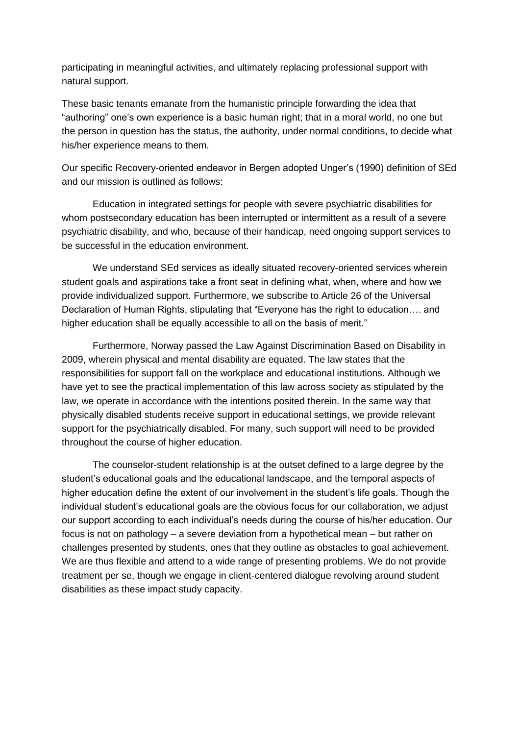participating in meaningful activities, and ultimately replacing professional support with natural support.

These basic tenants emanate from the humanistic principle forwarding the idea that "authoring" one's own experience is a basic human right; that in a moral world, no one but the person in question has the status, the authority, under normal conditions, to decide what his/her experience means to them.

Our specific Recovery-oriented endeavor in Bergen adopted Unger's (1990) definition of SEd and our mission is outlined as follows:

Education in integrated settings for people with severe psychiatric disabilities for whom postsecondary education has been interrupted or intermittent as a result of a severe psychiatric disability, and who, because of their handicap, need ongoing support services to be successful in the education environment.

We understand SEd services as ideally situated recovery-oriented services wherein student goals and aspirations take a front seat in defining what, when, where and how we provide individualized support. Furthermore, we subscribe to Article 26 of the Universal Declaration of Human Rights, stipulating that "Everyone has the right to education…. and higher education shall be equally accessible to all on the basis of merit."

Furthermore, Norway passed the Law Against Discrimination Based on Disability in 2009, wherein physical and mental disability are equated. The law states that the responsibilities for support fall on the workplace and educational institutions. Although we have yet to see the practical implementation of this law across society as stipulated by the law, we operate in accordance with the intentions posited therein. In the same way that physically disabled students receive support in educational settings, we provide relevant support for the psychiatrically disabled. For many, such support will need to be provided throughout the course of higher education.

The counselor-student relationship is at the outset defined to a large degree by the student's educational goals and the educational landscape, and the temporal aspects of higher education define the extent of our involvement in the student's life goals. Though the individual student's educational goals are the obvious focus for our collaboration, we adjust our support according to each individual's needs during the course of his/her education. Our focus is not on pathology – a severe deviation from a hypothetical mean – but rather on challenges presented by students, ones that they outline as obstacles to goal achievement. We are thus flexible and attend to a wide range of presenting problems. We do not provide treatment per se, though we engage in client-centered dialogue revolving around student disabilities as these impact study capacity.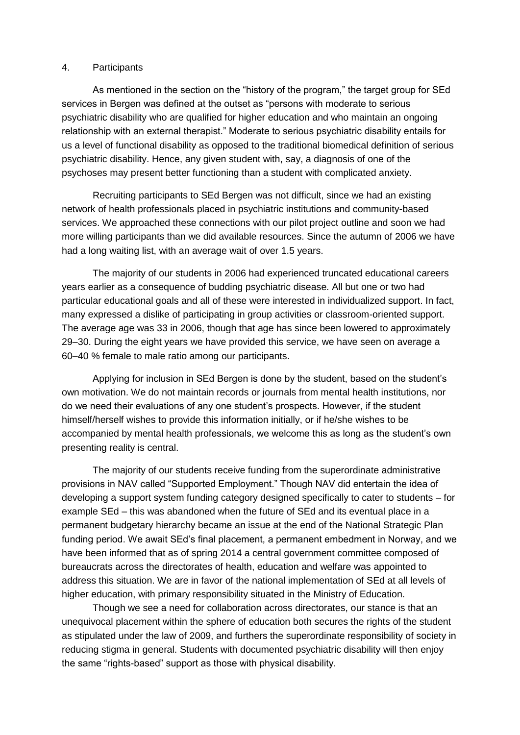#### 4. Participants

As mentioned in the section on the "history of the program," the target group for SEd services in Bergen was defined at the outset as "persons with moderate to serious psychiatric disability who are qualified for higher education and who maintain an ongoing relationship with an external therapist." Moderate to serious psychiatric disability entails for us a level of functional disability as opposed to the traditional biomedical definition of serious psychiatric disability. Hence, any given student with, say, a diagnosis of one of the psychoses may present better functioning than a student with complicated anxiety.

Recruiting participants to SEd Bergen was not difficult, since we had an existing network of health professionals placed in psychiatric institutions and community-based services. We approached these connections with our pilot project outline and soon we had more willing participants than we did available resources. Since the autumn of 2006 we have had a long waiting list, with an average wait of over 1.5 years.

The majority of our students in 2006 had experienced truncated educational careers years earlier as a consequence of budding psychiatric disease. All but one or two had particular educational goals and all of these were interested in individualized support. In fact, many expressed a dislike of participating in group activities or classroom-oriented support. The average age was 33 in 2006, though that age has since been lowered to approximately 29–30. During the eight years we have provided this service, we have seen on average a 60–40 % female to male ratio among our participants.

Applying for inclusion in SEd Bergen is done by the student, based on the student's own motivation. We do not maintain records or journals from mental health institutions, nor do we need their evaluations of any one student's prospects. However, if the student himself/herself wishes to provide this information initially, or if he/she wishes to be accompanied by mental health professionals, we welcome this as long as the student's own presenting reality is central.

The majority of our students receive funding from the superordinate administrative provisions in NAV called "Supported Employment." Though NAV did entertain the idea of developing a support system funding category designed specifically to cater to students – for example SEd – this was abandoned when the future of SEd and its eventual place in a permanent budgetary hierarchy became an issue at the end of the National Strategic Plan funding period. We await SEd's final placement, a permanent embedment in Norway, and we have been informed that as of spring 2014 a central government committee composed of bureaucrats across the directorates of health, education and welfare was appointed to address this situation. We are in favor of the national implementation of SEd at all levels of higher education, with primary responsibility situated in the Ministry of Education.

Though we see a need for collaboration across directorates, our stance is that an unequivocal placement within the sphere of education both secures the rights of the student as stipulated under the law of 2009, and furthers the superordinate responsibility of society in reducing stigma in general. Students with documented psychiatric disability will then enjoy the same "rights-based" support as those with physical disability.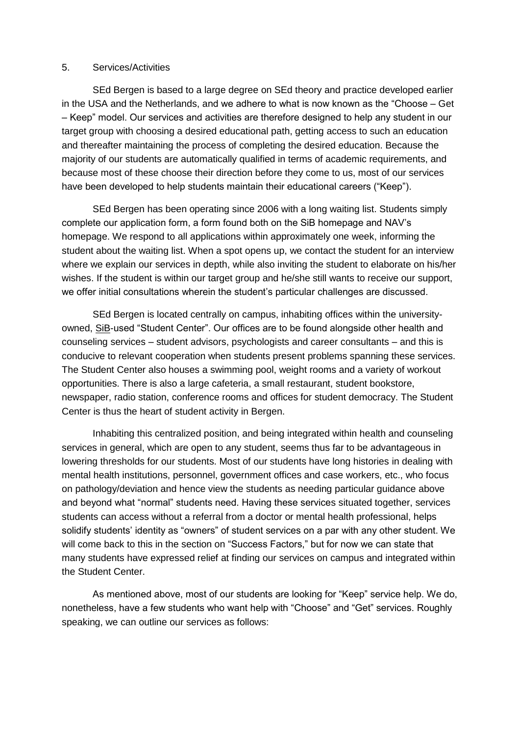#### 5. Services/Activities

SEd Bergen is based to a large degree on SEd theory and practice developed earlier in the USA and the Netherlands, and we adhere to what is now known as the "Choose – Get – Keep" model. Our services and activities are therefore designed to help any student in our target group with choosing a desired educational path, getting access to such an education and thereafter maintaining the process of completing the desired education. Because the majority of our students are automatically qualified in terms of academic requirements, and because most of these choose their direction before they come to us, most of our services have been developed to help students maintain their educational careers ("Keep").

SEd Bergen has been operating since 2006 with a long waiting list. Students simply complete our application form, a form found both on the SiB homepage and NAV's homepage. We respond to all applications within approximately one week, informing the student about the waiting list. When a spot opens up, we contact the student for an interview where we explain our services in depth, while also inviting the student to elaborate on his/her wishes. If the student is within our target group and he/she still wants to receive our support, we offer initial consultations wherein the student's particular challenges are discussed.

SEd Bergen is located centrally on campus, inhabiting offices within the universityowned, SiB-used "Student Center". Our offices are to be found alongside other health and counseling services – student advisors, psychologists and career consultants – and this is conducive to relevant cooperation when students present problems spanning these services. The Student Center also houses a swimming pool, weight rooms and a variety of workout opportunities. There is also a large cafeteria, a small restaurant, student bookstore, newspaper, radio station, conference rooms and offices for student democracy. The Student Center is thus the heart of student activity in Bergen.

Inhabiting this centralized position, and being integrated within health and counseling services in general, which are open to any student, seems thus far to be advantageous in lowering thresholds for our students. Most of our students have long histories in dealing with mental health institutions, personnel, government offices and case workers, etc., who focus on pathology/deviation and hence view the students as needing particular guidance above and beyond what "normal" students need. Having these services situated together, services students can access without a referral from a doctor or mental health professional, helps solidify students' identity as "owners" of student services on a par with any other student. We will come back to this in the section on "Success Factors," but for now we can state that many students have expressed relief at finding our services on campus and integrated within the Student Center.

As mentioned above, most of our students are looking for "Keep" service help. We do, nonetheless, have a few students who want help with "Choose" and "Get" services. Roughly speaking, we can outline our services as follows: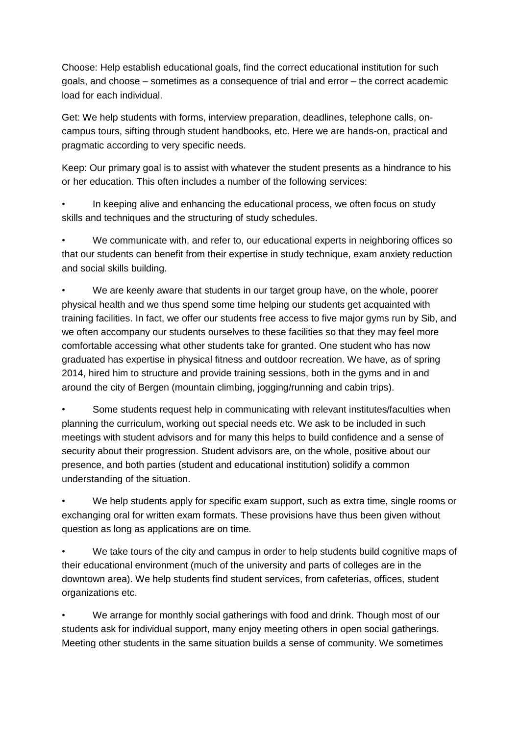Choose: Help establish educational goals, find the correct educational institution for such goals, and choose – sometimes as a consequence of trial and error – the correct academic load for each individual.

Get: We help students with forms, interview preparation, deadlines, telephone calls, oncampus tours, sifting through student handbooks, etc. Here we are hands-on, practical and pragmatic according to very specific needs.

Keep: Our primary goal is to assist with whatever the student presents as a hindrance to his or her education. This often includes a number of the following services:

In keeping alive and enhancing the educational process, we often focus on study skills and techniques and the structuring of study schedules.

• We communicate with, and refer to, our educational experts in neighboring offices so that our students can benefit from their expertise in study technique, exam anxiety reduction and social skills building.

We are keenly aware that students in our target group have, on the whole, poorer physical health and we thus spend some time helping our students get acquainted with training facilities. In fact, we offer our students free access to five major gyms run by Sib, and we often accompany our students ourselves to these facilities so that they may feel more comfortable accessing what other students take for granted. One student who has now graduated has expertise in physical fitness and outdoor recreation. We have, as of spring 2014, hired him to structure and provide training sessions, both in the gyms and in and around the city of Bergen (mountain climbing, jogging/running and cabin trips).

• Some students request help in communicating with relevant institutes/faculties when planning the curriculum, working out special needs etc. We ask to be included in such meetings with student advisors and for many this helps to build confidence and a sense of security about their progression. Student advisors are, on the whole, positive about our presence, and both parties (student and educational institution) solidify a common understanding of the situation.

We help students apply for specific exam support, such as extra time, single rooms or exchanging oral for written exam formats. These provisions have thus been given without question as long as applications are on time.

• We take tours of the city and campus in order to help students build cognitive maps of their educational environment (much of the university and parts of colleges are in the downtown area). We help students find student services, from cafeterias, offices, student organizations etc.

• We arrange for monthly social gatherings with food and drink. Though most of our students ask for individual support, many enjoy meeting others in open social gatherings. Meeting other students in the same situation builds a sense of community. We sometimes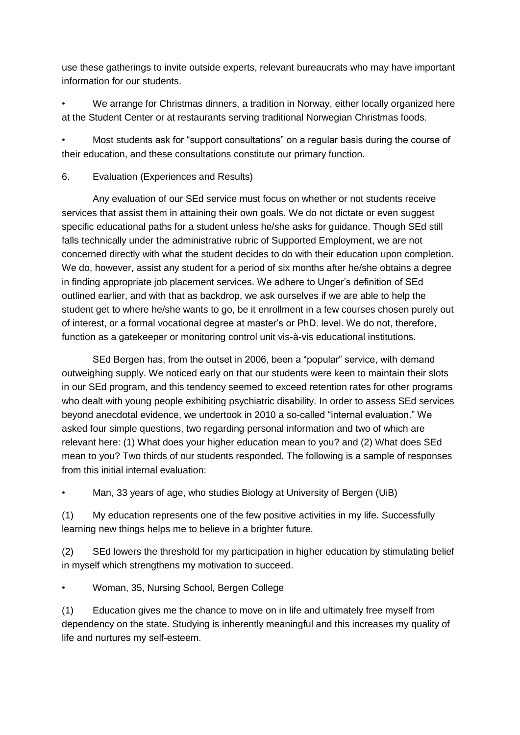use these gatherings to invite outside experts, relevant bureaucrats who may have important information for our students.

• We arrange for Christmas dinners, a tradition in Norway, either locally organized here at the Student Center or at restaurants serving traditional Norwegian Christmas foods.

• Most students ask for "support consultations" on a regular basis during the course of their education, and these consultations constitute our primary function.

# 6. Evaluation (Experiences and Results)

Any evaluation of our SEd service must focus on whether or not students receive services that assist them in attaining their own goals. We do not dictate or even suggest specific educational paths for a student unless he/she asks for guidance. Though SEd still falls technically under the administrative rubric of Supported Employment, we are not concerned directly with what the student decides to do with their education upon completion. We do, however, assist any student for a period of six months after he/she obtains a degree in finding appropriate job placement services. We adhere to Unger's definition of SEd outlined earlier, and with that as backdrop, we ask ourselves if we are able to help the student get to where he/she wants to go, be it enrollment in a few courses chosen purely out of interest, or a formal vocational degree at master's or PhD. level. We do not, therefore, function as a gatekeeper or monitoring control unit vis-à-vis educational institutions.

SEd Bergen has, from the outset in 2006, been a "popular" service, with demand outweighing supply. We noticed early on that our students were keen to maintain their slots in our SEd program, and this tendency seemed to exceed retention rates for other programs who dealt with young people exhibiting psychiatric disability. In order to assess SEd services beyond anecdotal evidence, we undertook in 2010 a so-called "internal evaluation." We asked four simple questions, two regarding personal information and two of which are relevant here: (1) What does your higher education mean to you? and (2) What does SEd mean to you? Two thirds of our students responded. The following is a sample of responses from this initial internal evaluation:

• Man, 33 years of age, who studies Biology at University of Bergen (UiB)

(1) My education represents one of the few positive activities in my life. Successfully learning new things helps me to believe in a brighter future.

(2) SEd lowers the threshold for my participation in higher education by stimulating belief in myself which strengthens my motivation to succeed.

• Woman, 35, Nursing School, Bergen College

(1) Education gives me the chance to move on in life and ultimately free myself from dependency on the state. Studying is inherently meaningful and this increases my quality of life and nurtures my self-esteem.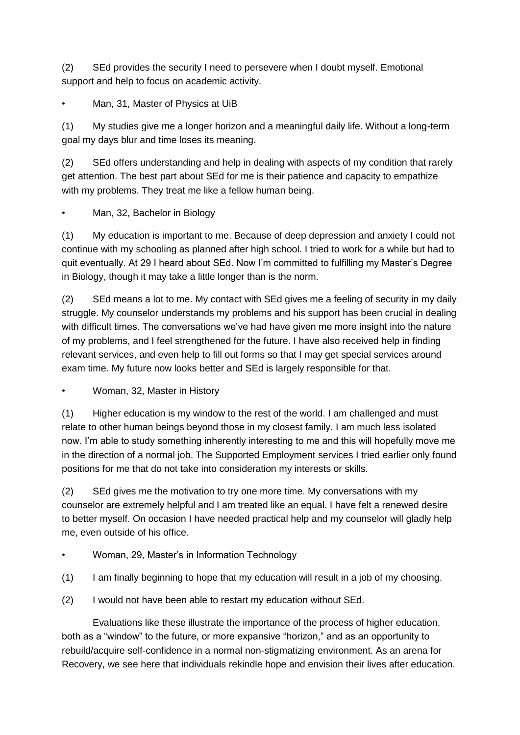(2) SEd provides the security I need to persevere when I doubt myself. Emotional support and help to focus on academic activity.

Man, 31, Master of Physics at UiB

(1) My studies give me a longer horizon and a meaningful daily life. Without a long-term goal my days blur and time loses its meaning.

(2) SEd offers understanding and help in dealing with aspects of my condition that rarely get attention. The best part about SEd for me is their patience and capacity to empathize with my problems. They treat me like a fellow human being.

• Man, 32, Bachelor in Biology

(1) My education is important to me. Because of deep depression and anxiety I could not continue with my schooling as planned after high school. I tried to work for a while but had to quit eventually. At 29 I heard about SEd. Now I'm committed to fulfilling my Master's Degree in Biology, though it may take a little longer than is the norm.

(2) SEd means a lot to me. My contact with SEd gives me a feeling of security in my daily struggle. My counselor understands my problems and his support has been crucial in dealing with difficult times. The conversations we've had have given me more insight into the nature of my problems, and I feel strengthened for the future. I have also received help in finding relevant services, and even help to fill out forms so that I may get special services around exam time. My future now looks better and SEd is largely responsible for that.

• Woman, 32, Master in History

(1) Higher education is my window to the rest of the world. I am challenged and must relate to other human beings beyond those in my closest family. I am much less isolated now. I'm able to study something inherently interesting to me and this will hopefully move me in the direction of a normal job. The Supported Employment services I tried earlier only found positions for me that do not take into consideration my interests or skills.

(2) SEd gives me the motivation to try one more time. My conversations with my counselor are extremely helpful and I am treated like an equal. I have felt a renewed desire to better myself. On occasion I have needed practical help and my counselor will gladly help me, even outside of his office.

- Woman, 29, Master's in Information Technology
- (1) I am finally beginning to hope that my education will result in a job of my choosing.
- (2) I would not have been able to restart my education without SEd.

Evaluations like these illustrate the importance of the process of higher education, both as a "window" to the future, or more expansive "horizon," and as an opportunity to rebuild/acquire self-confidence in a normal non-stigmatizing environment. As an arena for Recovery, we see here that individuals rekindle hope and envision their lives after education.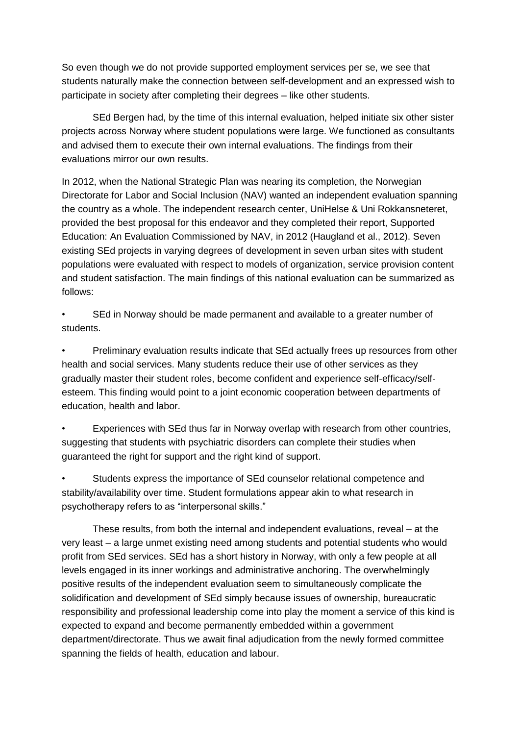So even though we do not provide supported employment services per se, we see that students naturally make the connection between self-development and an expressed wish to participate in society after completing their degrees – like other students.

SEd Bergen had, by the time of this internal evaluation, helped initiate six other sister projects across Norway where student populations were large. We functioned as consultants and advised them to execute their own internal evaluations. The findings from their evaluations mirror our own results.

In 2012, when the National Strategic Plan was nearing its completion, the Norwegian Directorate for Labor and Social Inclusion (NAV) wanted an independent evaluation spanning the country as a whole. The independent research center, UniHelse & Uni Rokkansneteret, provided the best proposal for this endeavor and they completed their report, Supported Education: An Evaluation Commissioned by NAV, in 2012 (Haugland et al., 2012). Seven existing SEd projects in varying degrees of development in seven urban sites with student populations were evaluated with respect to models of organization, service provision content and student satisfaction. The main findings of this national evaluation can be summarized as follows:

• SEd in Norway should be made permanent and available to a greater number of students.

• Preliminary evaluation results indicate that SEd actually frees up resources from other health and social services. Many students reduce their use of other services as they gradually master their student roles, become confident and experience self-efficacy/selfesteem. This finding would point to a joint economic cooperation between departments of education, health and labor.

• Experiences with SEd thus far in Norway overlap with research from other countries, suggesting that students with psychiatric disorders can complete their studies when guaranteed the right for support and the right kind of support.

• Students express the importance of SEd counselor relational competence and stability/availability over time. Student formulations appear akin to what research in psychotherapy refers to as "interpersonal skills."

These results, from both the internal and independent evaluations, reveal – at the very least – a large unmet existing need among students and potential students who would profit from SEd services. SEd has a short history in Norway, with only a few people at all levels engaged in its inner workings and administrative anchoring. The overwhelmingly positive results of the independent evaluation seem to simultaneously complicate the solidification and development of SEd simply because issues of ownership, bureaucratic responsibility and professional leadership come into play the moment a service of this kind is expected to expand and become permanently embedded within a government department/directorate. Thus we await final adjudication from the newly formed committee spanning the fields of health, education and labour.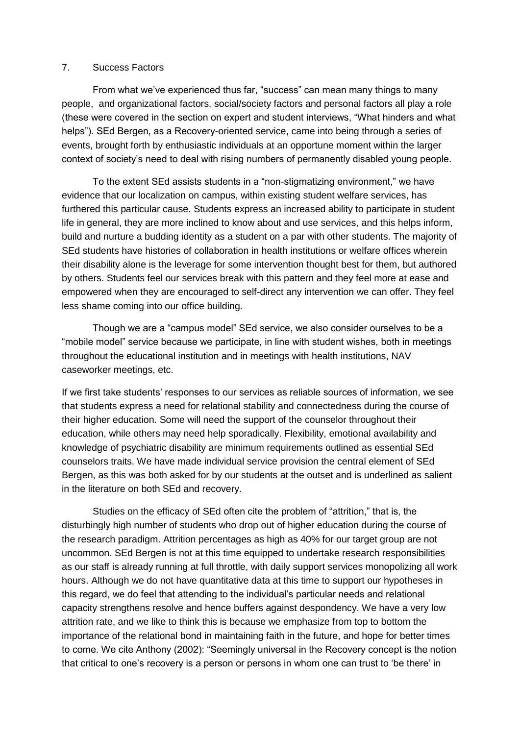## 7. Success Factors

From what we've experienced thus far, "success" can mean many things to many people, and organizational factors, social/society factors and personal factors all play a role (these were covered in the section on expert and student interviews, "What hinders and what helps"). SEd Bergen, as a Recovery-oriented service, came into being through a series of events, brought forth by enthusiastic individuals at an opportune moment within the larger context of society's need to deal with rising numbers of permanently disabled young people.

To the extent SEd assists students in a "non-stigmatizing environment," we have evidence that our localization on campus, within existing student welfare services, has furthered this particular cause. Students express an increased ability to participate in student life in general, they are more inclined to know about and use services, and this helps inform, build and nurture a budding identity as a student on a par with other students. The majority of SEd students have histories of collaboration in health institutions or welfare offices wherein their disability alone is the leverage for some intervention thought best for them, but authored by others. Students feel our services break with this pattern and they feel more at ease and empowered when they are encouraged to self-direct any intervention we can offer. They feel less shame coming into our office building.

Though we are a "campus model" SEd service, we also consider ourselves to be a "mobile model" service because we participate, in line with student wishes, both in meetings throughout the educational institution and in meetings with health institutions, NAV caseworker meetings, etc.

If we first take students' responses to our services as reliable sources of information, we see that students express a need for relational stability and connectedness during the course of their higher education. Some will need the support of the counselor throughout their education, while others may need help sporadically. Flexibility, emotional availability and knowledge of psychiatric disability are minimum requirements outlined as essential SEd counselors traits. We have made individual service provision the central element of SEd Bergen, as this was both asked for by our students at the outset and is underlined as salient in the literature on both SEd and recovery.

Studies on the efficacy of SEd often cite the problem of "attrition," that is, the disturbingly high number of students who drop out of higher education during the course of the research paradigm. Attrition percentages as high as 40% for our target group are not uncommon. SEd Bergen is not at this time equipped to undertake research responsibilities as our staff is already running at full throttle, with daily support services monopolizing all work hours. Although we do not have quantitative data at this time to support our hypotheses in this regard, we do feel that attending to the individual's particular needs and relational capacity strengthens resolve and hence buffers against despondency. We have a very low attrition rate, and we like to think this is because we emphasize from top to bottom the importance of the relational bond in maintaining faith in the future, and hope for better times to come. We cite Anthony (2002): "Seemingly universal in the Recovery concept is the notion that critical to one's recovery is a person or persons in whom one can trust to 'be there' in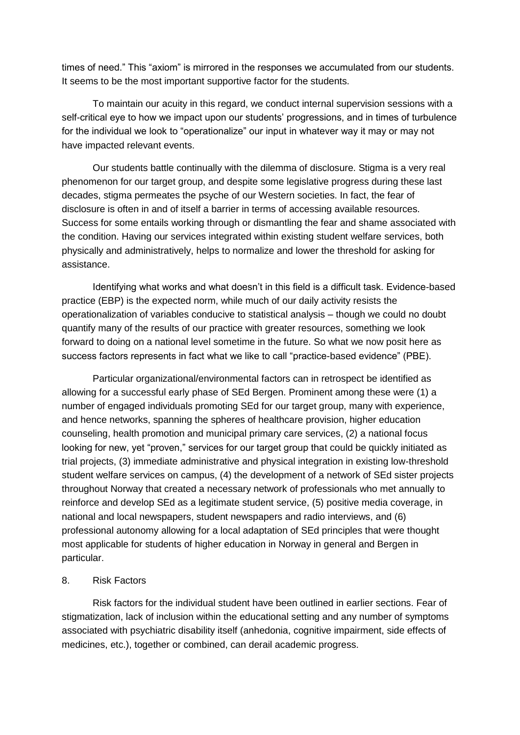times of need." This "axiom" is mirrored in the responses we accumulated from our students. It seems to be the most important supportive factor for the students.

To maintain our acuity in this regard, we conduct internal supervision sessions with a self-critical eye to how we impact upon our students' progressions, and in times of turbulence for the individual we look to "operationalize" our input in whatever way it may or may not have impacted relevant events.

Our students battle continually with the dilemma of disclosure. Stigma is a very real phenomenon for our target group, and despite some legislative progress during these last decades, stigma permeates the psyche of our Western societies. In fact, the fear of disclosure is often in and of itself a barrier in terms of accessing available resources. Success for some entails working through or dismantling the fear and shame associated with the condition. Having our services integrated within existing student welfare services, both physically and administratively, helps to normalize and lower the threshold for asking for assistance.

Identifying what works and what doesn't in this field is a difficult task. Evidence-based practice (EBP) is the expected norm, while much of our daily activity resists the operationalization of variables conducive to statistical analysis – though we could no doubt quantify many of the results of our practice with greater resources, something we look forward to doing on a national level sometime in the future. So what we now posit here as success factors represents in fact what we like to call "practice-based evidence" (PBE).

Particular organizational/environmental factors can in retrospect be identified as allowing for a successful early phase of SEd Bergen. Prominent among these were (1) a number of engaged individuals promoting SEd for our target group, many with experience, and hence networks, spanning the spheres of healthcare provision, higher education counseling, health promotion and municipal primary care services, (2) a national focus looking for new, yet "proven," services for our target group that could be quickly initiated as trial projects, (3) immediate administrative and physical integration in existing low-threshold student welfare services on campus, (4) the development of a network of SEd sister projects throughout Norway that created a necessary network of professionals who met annually to reinforce and develop SEd as a legitimate student service, (5) positive media coverage, in national and local newspapers, student newspapers and radio interviews, and (6) professional autonomy allowing for a local adaptation of SEd principles that were thought most applicable for students of higher education in Norway in general and Bergen in particular.

### 8. Risk Factors

Risk factors for the individual student have been outlined in earlier sections. Fear of stigmatization, lack of inclusion within the educational setting and any number of symptoms associated with psychiatric disability itself (anhedonia, cognitive impairment, side effects of medicines, etc.), together or combined, can derail academic progress.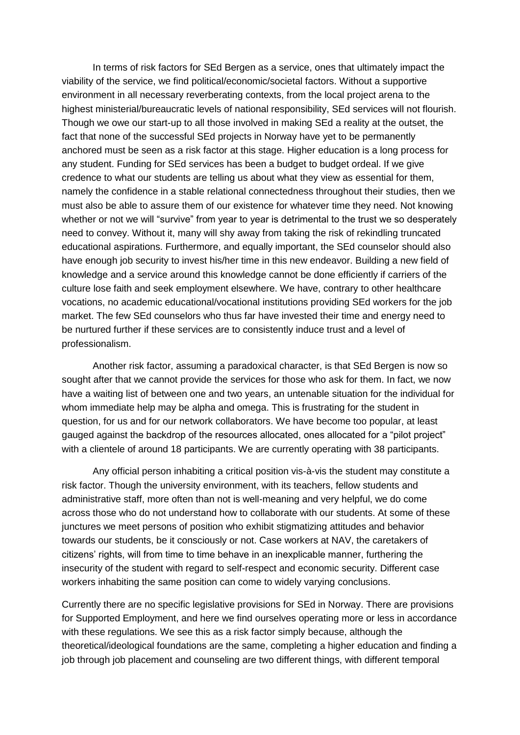In terms of risk factors for SEd Bergen as a service, ones that ultimately impact the viability of the service, we find political/economic/societal factors. Without a supportive environment in all necessary reverberating contexts, from the local project arena to the highest ministerial/bureaucratic levels of national responsibility, SEd services will not flourish. Though we owe our start-up to all those involved in making SEd a reality at the outset, the fact that none of the successful SEd projects in Norway have yet to be permanently anchored must be seen as a risk factor at this stage. Higher education is a long process for any student. Funding for SEd services has been a budget to budget ordeal. If we give credence to what our students are telling us about what they view as essential for them, namely the confidence in a stable relational connectedness throughout their studies, then we must also be able to assure them of our existence for whatever time they need. Not knowing whether or not we will "survive" from year to year is detrimental to the trust we so desperately need to convey. Without it, many will shy away from taking the risk of rekindling truncated educational aspirations. Furthermore, and equally important, the SEd counselor should also have enough job security to invest his/her time in this new endeavor. Building a new field of knowledge and a service around this knowledge cannot be done efficiently if carriers of the culture lose faith and seek employment elsewhere. We have, contrary to other healthcare vocations, no academic educational/vocational institutions providing SEd workers for the job market. The few SEd counselors who thus far have invested their time and energy need to be nurtured further if these services are to consistently induce trust and a level of professionalism.

Another risk factor, assuming a paradoxical character, is that SEd Bergen is now so sought after that we cannot provide the services for those who ask for them. In fact, we now have a waiting list of between one and two years, an untenable situation for the individual for whom immediate help may be alpha and omega. This is frustrating for the student in question, for us and for our network collaborators. We have become too popular, at least gauged against the backdrop of the resources allocated, ones allocated for a "pilot project" with a clientele of around 18 participants. We are currently operating with 38 participants.

Any official person inhabiting a critical position vis-à-vis the student may constitute a risk factor. Though the university environment, with its teachers, fellow students and administrative staff, more often than not is well-meaning and very helpful, we do come across those who do not understand how to collaborate with our students. At some of these junctures we meet persons of position who exhibit stigmatizing attitudes and behavior towards our students, be it consciously or not. Case workers at NAV, the caretakers of citizens' rights, will from time to time behave in an inexplicable manner, furthering the insecurity of the student with regard to self-respect and economic security. Different case workers inhabiting the same position can come to widely varying conclusions.

Currently there are no specific legislative provisions for SEd in Norway. There are provisions for Supported Employment, and here we find ourselves operating more or less in accordance with these regulations. We see this as a risk factor simply because, although the theoretical/ideological foundations are the same, completing a higher education and finding a job through job placement and counseling are two different things, with different temporal